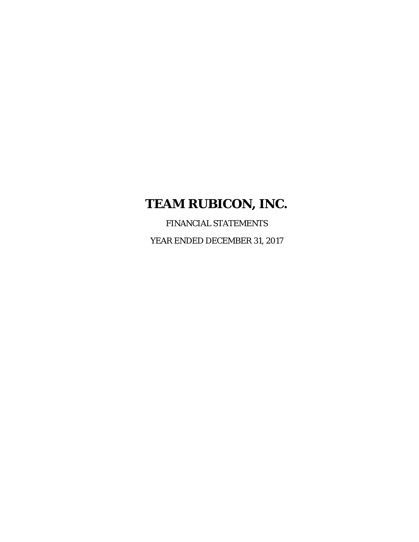FINANCIAL STATEMENTS YEAR ENDED DECEMBER 31, 2017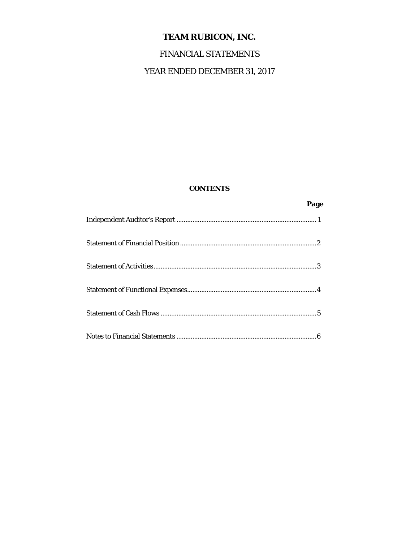# FINANCIAL STATEMENTS

# YEAR ENDED DECEMBER 31, 2017

# **CONTENTS**

*Page* Page 2014 **Page**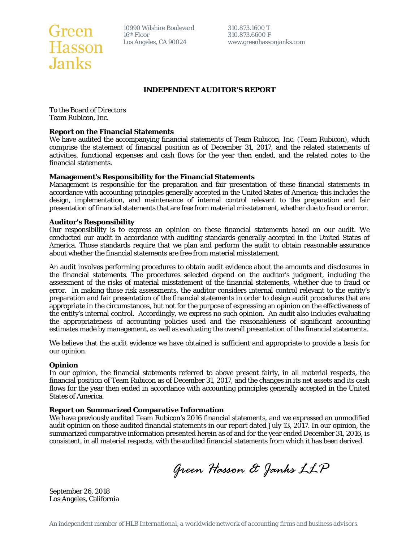

10990 Wilshire Boulevard 310.873.1600 T<br>16<sup>th</sup> Floor 310.873.6600 F

www.greenhassonjanks.com

#### **INDEPENDENT AUDITOR'S REPORT**

To the Board of Directors Team Rubicon, Inc.

#### **Report on the Financial Statements**

We have audited the accompanying financial statements of Team Rubicon, Inc. (Team Rubicon), which comprise the statement of financial position as of December 31, 2017, and the related statements of activities, functional expenses and cash flows for the year then ended, and the related notes to the financial statements.

#### **Management's Responsibility for the Financial Statements**

Management is responsible for the preparation and fair presentation of these financial statements in accordance with accounting principles generally accepted in the United States of America; this includes the design, implementation, and maintenance of internal control relevant to the preparation and fair presentation of financial statements that are free from material misstatement, whether due to fraud or error.

#### **Auditor's Responsibility**

Our responsibility is to express an opinion on these financial statements based on our audit. We conducted our audit in accordance with auditing standards generally accepted in the United States of America. Those standards require that we plan and perform the audit to obtain reasonable assurance about whether the financial statements are free from material misstatement.

An audit involves performing procedures to obtain audit evidence about the amounts and disclosures in the financial statements. The procedures selected depend on the auditor's judgment, including the assessment of the risks of material misstatement of the financial statements, whether due to fraud or error. In making those risk assessments, the auditor considers internal control relevant to the entity's preparation and fair presentation of the financial statements in order to design audit procedures that are appropriate in the circumstances, but not for the purpose of expressing an opinion on the effectiveness of the entity's internal control. Accordingly, we express no such opinion. An audit also includes evaluating the appropriateness of accounting policies used and the reasonableness of significant accounting estimates made by management, as well as evaluating the overall presentation of the financial statements.

We believe that the audit evidence we have obtained is sufficient and appropriate to provide a basis for our opinion.

#### **Opinion**

In our opinion, the financial statements referred to above present fairly, in all material respects, the financial position of Team Rubicon as of December 31, 2017, and the changes in its net assets and its cash flows for the year then ended in accordance with accounting principles generally accepted in the United States of America.

#### **Report on Summarized Comparative Information**

We have previously audited Team Rubicon's 2016 financial statements, and we expressed an unmodified audit opinion on those audited financial statements in our report dated July 13, 2017. In our opinion, the summarized comparative information presented herein as of and for the year ended December 31, 2016, is consistent, in all material respects, with the audited financial statements from which it has been derived.

*Green Hasson & Janks LLP* 

September 26, 2018 Los Angeles, California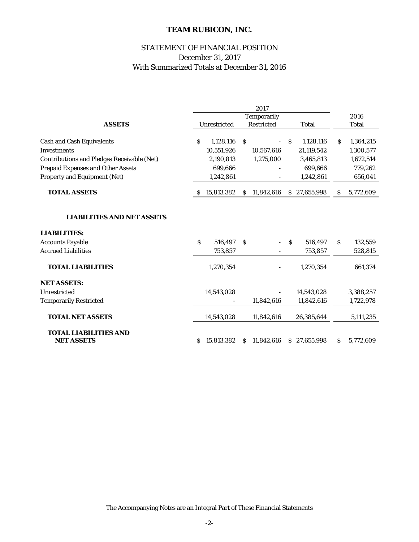# STATEMENT OF FINANCIAL POSITION With Summarized Totals at December 31, 2016 December 31, 2017

|                                                   | 2017                                |            |              |            |    |              |      |           |
|---------------------------------------------------|-------------------------------------|------------|--------------|------------|----|--------------|------|-----------|
|                                                   | Temporarily                         |            |              |            |    |              | 2016 |           |
| <b>ASSETS</b>                                     | Unrestricted<br>Restricted<br>Total |            |              | Total      |    |              |      |           |
| <b>Cash and Cash Equivalents</b>                  | S                                   | 1,128,116  | <sub>S</sub> |            | S. | 1,128,116    | S    | 1,364,215 |
| <b>Investments</b>                                |                                     | 10,551,926 |              | 10,567,616 |    | 21,119,542   |      | 1,300,577 |
| <b>Contributions and Pledges Receivable (Net)</b> |                                     | 2,190,813  |              | 1,275,000  |    | 3,465,813    |      | 1,672,514 |
| <b>Prepaid Expenses and Other Assets</b>          |                                     | 699,666    |              |            |    | 699,666      |      | 779,262   |
|                                                   |                                     |            |              |            |    |              |      |           |
| Property and Equipment (Net)                      |                                     | 1,242,861  |              |            |    | 1,242,861    |      | 656,041   |
| <b>TOTAL ASSETS</b>                               | S                                   | 15,813,382 | S.           | 11,842,616 |    | \$27,655,998 | s    | 5,772,609 |
|                                                   |                                     |            |              |            |    |              |      |           |
| <b>LIABILITIES AND NET ASSETS</b>                 |                                     |            |              |            |    |              |      |           |
| <b>LIABILITIES:</b>                               |                                     |            |              |            |    |              |      |           |
| <b>Accounts Payable</b>                           | Ŝ                                   | 516,497    | Ŝ            |            | S  | 516,497      | S    | 132,559   |
| <b>Accrued Liabilities</b>                        |                                     | 753,857    |              |            |    | 753,857      |      | 528,815   |
| <b>TOTAL LIABILITIES</b>                          |                                     | 1,270,354  |              |            |    | 1,270,354    |      | 661,374   |
| <b>NET ASSETS:</b>                                |                                     |            |              |            |    |              |      |           |
| Unrestricted                                      |                                     | 14,543,028 |              |            |    | 14,543,028   |      | 3,388,257 |
| <b>Temporarily Restricted</b>                     |                                     |            |              | 11,842,616 |    | 11,842,616   |      | 1,722,978 |
| <b>TOTAL NET ASSETS</b>                           |                                     | 14,543,028 |              | 11,842,616 |    | 26,385,644   |      | 5,111,235 |
| <b>TOTAL LIABILITIES AND</b><br><b>NET ASSETS</b> | S                                   | 15,813,382 | S.           | 11,842,616 |    | \$27,655,998 | S    | 5,772,609 |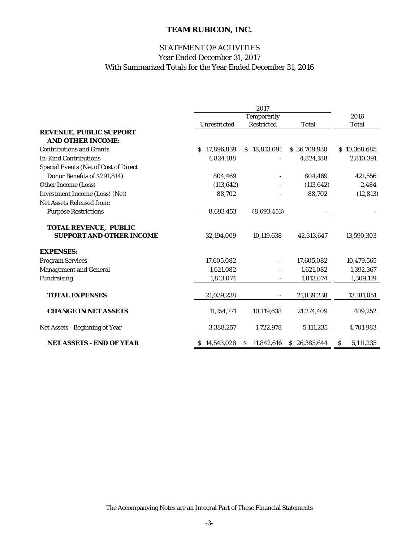# With Summarized Totals for the Year Ended December 31, 2016 STATEMENT OF ACTIVITIES Year Ended December 31, 2017

|                                                            | 2017         |                  |              |                |  |  |
|------------------------------------------------------------|--------------|------------------|--------------|----------------|--|--|
|                                                            |              | Temporarily      |              | 2016           |  |  |
|                                                            | Unrestricted | Restricted       | Total        | <b>Total</b>   |  |  |
| <b>REVENUE, PUBLIC SUPPORT</b><br><b>AND OTHER INCOME:</b> |              |                  |              |                |  |  |
| <b>Contributions and Grants</b>                            | \$17,896,839 | \$18,813,091     | \$36,709,930 | \$10,368,685   |  |  |
| <b>In-Kind Contributions</b>                               | 4,824,188    |                  | 4,824,188    | 2,810,391      |  |  |
| <b>Special Events (Net of Cost of Direct</b>               |              |                  |              |                |  |  |
| Donor Benefits of \$291,814)                               | 804,469      |                  | 804,469      | 421,556        |  |  |
| Other Income (Loss)                                        | (113, 642)   |                  | (113, 642)   | 2,484          |  |  |
| <b>Investment Income (Loss) (Net)</b>                      | 88,702       |                  | 88,702       | (12, 813)      |  |  |
| <b>Net Assets Released from:</b>                           |              |                  |              |                |  |  |
| <b>Purpose Restrictions</b>                                | 8,693,453    | (8,693,453)      |              |                |  |  |
| <b>TOTAL REVENUE, PUBLIC</b>                               |              |                  |              |                |  |  |
| <b>SUPPORT AND OTHER INCOME</b>                            | 32,194,009   | 10,119,638       | 42,313,647   | 13,590,303     |  |  |
| <b>EXPENSES:</b>                                           |              |                  |              |                |  |  |
| <b>Program Services</b>                                    | 17,605,082   |                  | 17,605,082   | 10,479,565     |  |  |
| <b>Management and General</b>                              | 1,621,082    |                  | 1,621,082    | 1,392,367      |  |  |
| Fundraising                                                | 1,813,074    |                  | 1,813,074    | 1,309,119      |  |  |
| <b>TOTAL EXPENSES</b>                                      | 21,039,238   |                  | 21,039,238   | 13,181,051     |  |  |
| <b>CHANGE IN NET ASSETS</b>                                | 11,154,771   | 10,119,638       | 21,274,409   | 409,252        |  |  |
| Net Assets - Beginning of Year                             | 3,388,257    | 1,722,978        | 5,111,235    | 4,701,983      |  |  |
| <b>NET ASSETS - END OF YEAR</b>                            | \$14,543,028 | 11,842,616<br>S. | \$26,385,644 | 5,111,235<br>S |  |  |

The Accompanying Notes are an Integral Part of These Financial Statements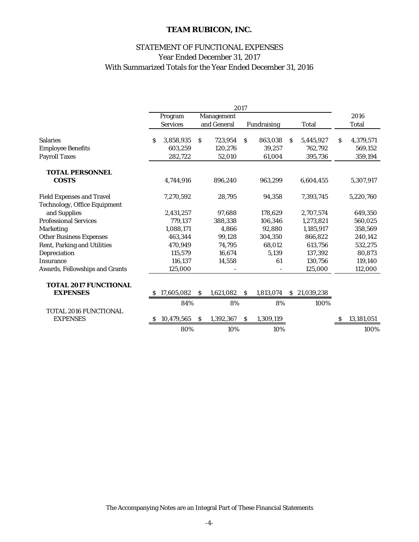# STATEMENT OF FUNCTIONAL EXPENSES Year Ended December 31, 2017 With Summarized Totals for the Year Ended December 31, 2016

|                                     |   |                 |              |             | 2017         |             |    |              |   |              |
|-------------------------------------|---|-----------------|--------------|-------------|--------------|-------------|----|--------------|---|--------------|
|                                     |   | Program         |              | Management  |              |             |    |              |   | 2016         |
|                                     |   | <b>Services</b> |              | and General |              | Fundraising |    | Total        |   | <b>Total</b> |
| <b>Salaries</b>                     | S | 3,858,935       | S            | 723,954     | <sub>S</sub> | 863,038     | S. | 5,445,927    | S | 4,379,571    |
| <b>Employee Benefits</b>            |   | 603.259         |              | 120.276     |              | 39,257      |    | 762,792      |   | 569,152      |
| <b>Payroll Taxes</b>                |   | 282,722         |              | 52,010      |              | 61,004      |    | 395,736      |   | 359,194      |
| <b>TOTAL PERSONNEL</b>              |   |                 |              |             |              |             |    |              |   |              |
| <b>COSTS</b>                        |   | 4,744,916       |              | 896,240     |              | 963,299     |    | 6,604,455    |   | 5,307,917    |
| <b>Field Expenses and Travel</b>    |   | 7,270,592       |              | 28,795      |              | 94,358      |    | 7,393,745    |   | 5,220,760    |
| <b>Technology, Office Equipment</b> |   |                 |              |             |              |             |    |              |   |              |
| and Supplies                        |   | 2,431,257       |              | 97,688      |              | 178,629     |    | 2,707,574    |   | 649,350      |
| <b>Professional Services</b>        |   | 779.137         |              | 388,338     |              | 106,346     |    | 1,273,821    |   | 560,025      |
| <b>Marketing</b>                    |   | 1,088,171       |              | 4,866       |              | 92,880      |    | 1,185,917    |   | 358,569      |
| <b>Other Business Expenses</b>      |   | 463.344         |              | 99,128      |              | 304,350     |    | 866.822      |   | 240,142      |
| <b>Rent, Parking and Utilities</b>  |   | 470,949         |              | 74,795      |              | 68,012      |    | 613,756      |   | 532,275      |
| Depreciation                        |   | 115,579         |              | 16,674      |              | 5,139       |    | 137,392      |   | 80,873       |
| <b>Insurance</b>                    |   | 116,137         |              | 14,558      |              | 61          |    | 130,756      |   | 119,140      |
| Awards, Fellowships and Grants      |   | 125,000         |              |             |              |             |    | 125,000      |   | 112,000      |
| <b>TOTAL 2017 FUNCTIONAL</b>        |   |                 |              |             |              |             |    |              |   |              |
| <b>EXPENSES</b>                     |   | \$17,605,082    | S.           | 1,621,082   | S.           | 1,813,074   |    | \$21,039,238 |   |              |
|                                     |   | 84%             |              | 8%          |              | 8%          |    | 100%         |   |              |
| <b>TOTAL 2016 FUNCTIONAL</b>        |   |                 |              |             |              |             |    |              |   |              |
| <b>EXPENSES</b>                     | s | 10,479,565      | <sup>S</sup> | 1,392,367   | <sup>S</sup> | 1,309,119   |    |              | S | 13,181,051   |
|                                     |   | 80%             |              | 10%         |              | 10%         |    |              |   | 100%         |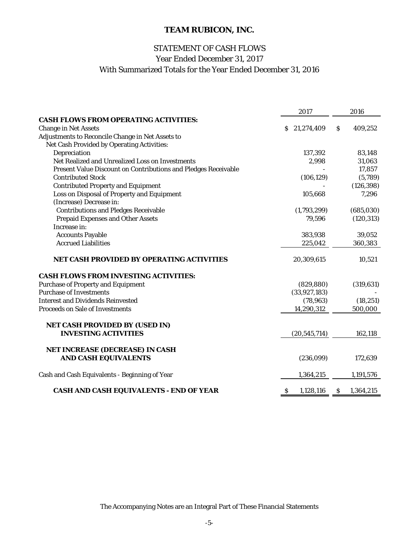# Year Ended December 31, 2017 STATEMENT OF CASH FLOWS With Summarized Totals for the Year Ended December 31, 2016

|                                                                | 2017                      |    | 2016       |
|----------------------------------------------------------------|---------------------------|----|------------|
| <b>CASH FLOWS FROM OPERATING ACTIVITIES:</b>                   |                           |    |            |
| <b>Change in Net Assets</b>                                    | \$21,274,409              | S. | 409,252    |
| Adjustments to Reconcile Change in Net Assets to               |                           |    |            |
| Net Cash Provided by Operating Activities:                     |                           |    |            |
| Depreciation                                                   | 137,392                   |    | 83,148     |
| Net Realized and Unrealized Loss on Investments                | 2,998                     |    | 31,063     |
| Present Value Discount on Contributions and Pledges Receivable |                           |    | 17,857     |
| <b>Contributed Stock</b>                                       | (106, 129)                |    | (5,789)    |
| <b>Contributed Property and Equipment</b>                      |                           |    | (126, 398) |
| Loss on Disposal of Property and Equipment                     | 105,668                   |    | 7,296      |
| (Increase) Decrease in:                                        |                           |    |            |
| <b>Contributions and Pledges Receivable</b>                    | (1,793,299)               |    | (685,030)  |
| <b>Prepaid Expenses and Other Assets</b>                       | 79,596                    |    | (120, 313) |
| Increase in:                                                   |                           |    |            |
| <b>Accounts Payable</b>                                        | 383,938                   |    | 39,052     |
| <b>Accrued Liabilities</b>                                     | 225,042                   |    | 360,383    |
| <b>NET CASH PROVIDED BY OPERATING ACTIVITIES</b>               | 20,309,615                |    | 10,521     |
| <b>CASH FLOWS FROM INVESTING ACTIVITIES:</b>                   |                           |    |            |
| <b>Purchase of Property and Equipment</b>                      | (829, 880)                |    | (319, 631) |
| <b>Purchase of Investments</b>                                 | (33, 927, 183)            |    |            |
| <b>Interest and Dividends Reinvested</b>                       | (78, 963)                 |    | (18, 251)  |
| <b>Proceeds on Sale of Investments</b>                         | 14,290,312                |    | 500,000    |
| <b>NET CASH PROVIDED BY (USED IN)</b>                          |                           |    |            |
| <b>INVESTING ACTIVITIES</b>                                    | (20, 545, 714)            |    | 162,118    |
| NET INCREASE (DECREASE) IN CASH                                |                           |    |            |
| <b>AND CASH EQUIVALENTS</b>                                    | (236,099)                 |    | 172,639    |
| Cash and Cash Equivalents - Beginning of Year                  | 1,364,215                 |    | 1,191,576  |
| <b>CASH AND CASH EQUIVALENTS - END OF YEAR</b>                 | 1,128,116<br><sub>S</sub> | S. | 1,364,215  |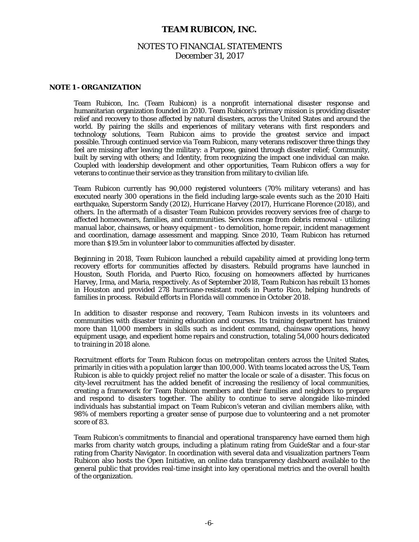# NOTES TO FINANCIAL STATEMENTS December 31, 2017

#### **NOTE 1 - ORGANIZATION**

Team Rubicon, Inc. (Team Rubicon) is a nonprofit international disaster response and humanitarian organization founded in 2010. Team Rubicon's primary mission is providing disaster relief and recovery to those affected by natural disasters, across the United States and around the world. By pairing the skills and experiences of military veterans with first responders and technology solutions, Team Rubicon aims to provide the greatest service and impact possible. Through continued service via Team Rubicon, many veterans rediscover three things they feel are missing after leaving the military: a Purpose, gained through disaster relief; Community, built by serving with others; and Identity, from recognizing the impact one individual can make. Coupled with leadership development and other opportunities, Team Rubicon offers a way for veterans to continue their service as they transition from military to civilian life.

 Team Rubicon currently has 90,000 registered volunteers (70% military veterans) and has executed nearly 300 operations in the field including large-scale events such as the 2010 Haiti earthquake, Superstorm Sandy (2012), Hurricane Harvey (2017), Hurricane Florence (2018), and others. In the aftermath of a disaster Team Rubicon provides recovery services free of charge to affected homeowners, families, and communities. Services range from debris removal - utilizing manual labor, chainsaws, or heavy equipment - to demolition, home repair, incident management and coordination, damage assessment and mapping. Since 2010, Team Rubicon has returned more than \$19.5m in volunteer labor to communities affected by disaster.

 Beginning in 2018, Team Rubicon launched a rebuild capability aimed at providing long-term recovery efforts for communities affected by disasters. Rebuild programs have launched in Houston, South Florida, and Puerto Rico, focusing on homeowners affected by hurricanes Harvey, Irma, and Maria, respectively. As of September 2018, Team Rubicon has rebuilt 13 homes in Houston and provided 278 hurricane-resistant roofs in Puerto Rico, helping hundreds of families in process. Rebuild efforts in Florida will commence in October 2018.

 In addition to disaster response and recovery, Team Rubicon invests in its volunteers and communities with disaster training education and courses. Its training department has trained more than 11,000 members in skills such as incident command, chainsaw operations, heavy equipment usage, and expedient home repairs and construction, totaling 54,000 hours dedicated to training in 2018 alone.

 Recruitment efforts for Team Rubicon focus on metropolitan centers across the United States, primarily in cities with a population larger than 100,000. With teams located across the US, Team Rubicon is able to quickly project relief no matter the locale or scale of a disaster. This focus on city-level recruitment has the added benefit of increasing the resiliency of local communities, creating a framework for Team Rubicon members and their families and neighbors to prepare and respond to disasters together. The ability to continue to serve alongside like-minded individuals has substantial impact on Team Rubicon's veteran and civilian members alike, with 98% of members reporting a greater sense of purpose due to volunteering and a net promoter score of 83.

 Team Rubicon's commitments to financial and operational transparency have earned them high marks from charity watch groups, including a platinum rating from GuideStar and a four-star rating from Charity Navigator. In coordination with several data and visualization partners Team Rubicon also hosts the Open Initiative, an online data transparency dashboard available to the general public that provides real-time insight into key operational metrics and the overall health of the organization.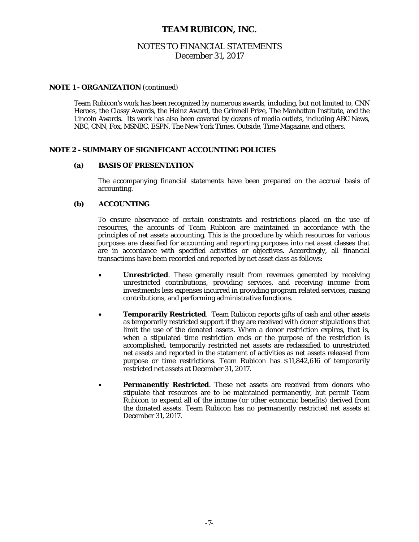# NOTES TO FINANCIAL STATEMENTS December 31, 2017

#### **NOTE 1 - ORGANIZATION** (continued)

 Team Rubicon's work has been recognized by numerous awards, including, but not limited to, CNN Heroes, the Classy Awards, the Heinz Award, the Grinnell Prize, The Manhattan Institute, and the Lincoln Awards. Its work has also been covered by dozens of media outlets, including ABC News, NBC, CNN, Fox, MSNBC, ESPN, The New York Times, Outside, Time Magazine, and others.

#### **NOTE 2 - SUMMARY OF SIGNIFICANT ACCOUNTING POLICIES**

#### **(a) BASIS OF PRESENTATION**

 The accompanying financial statements have been prepared on the accrual basis of accounting.

#### **(b) ACCOUNTING**

 To ensure observance of certain constraints and restrictions placed on the use of resources, the accounts of Team Rubicon are maintained in accordance with the principles of net assets accounting. This is the procedure by which resources for various purposes are classified for accounting and reporting purposes into net asset classes that are in accordance with specified activities or objectives. Accordingly, all financial transactions have been recorded and reported by net asset class as follows:

- **Unrestricted**. These generally result from revenues generated by receiving unrestricted contributions, providing services, and receiving income from investments less expenses incurred in providing program related services, raising contributions, and performing administrative functions.
- **Temporarily Restricted**. Team Rubicon reports gifts of cash and other assets as temporarily restricted support if they are received with donor stipulations that limit the use of the donated assets. When a donor restriction expires, that is, when a stipulated time restriction ends or the purpose of the restriction is accomplished, temporarily restricted net assets are reclassified to unrestricted net assets and reported in the statement of activities as net assets released from purpose or time restrictions. Team Rubicon has \$11,842,616 of temporarily restricted net assets at December 31, 2017.
- **Permanently Restricted**. These net assets are received from donors who stipulate that resources are to be maintained permanently, but permit Team Rubicon to expend all of the income (or other economic benefits) derived from the donated assets. Team Rubicon has no permanently restricted net assets at December 31, 2017.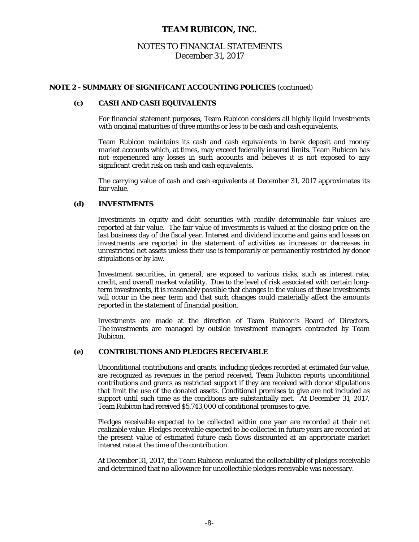# NOTES TO FINANCIAL STATEMENTS December 31, 2017

#### **NOTE 2 - SUMMARY OF SIGNIFICANT ACCOUNTING POLICIES** (continued)

#### **(c) CASH AND CASH EQUIVALENTS**

For financial statement purposes, Team Rubicon considers all highly liquid investments with original maturities of three months or less to be cash and cash equivalents.

Team Rubicon maintains its cash and cash equivalents in bank deposit and money market accounts which, at times, may exceed federally insured limits. Team Rubicon has not experienced any losses in such accounts and believes it is not exposed to any significant credit risk on cash and cash equivalents.

The carrying value of cash and cash equivalents at December 31, 2017 approximates its fair value.

#### **(d) INVESTMENTS**

 Investments in equity and debt securities with readily determinable fair values are reported at fair value. The fair value of investments is valued at the closing price on the last business day of the fiscal year. Interest and dividend income and gains and losses on investments are reported in the statement of activities as increases or decreases in unrestricted net assets unless their use is temporarily or permanently restricted by donor stipulations or by law.

Investment securities, in general, are exposed to various risks, such as interest rate, credit, and overall market volatility. Due to the level of risk associated with certain longterm investments, it is reasonably possible that changes in the values of these investments will occur in the near term and that such changes could materially affect the amounts reported in the statement of financial position.

Investments are made at the direction of Team Rubicon's Board of Directors. The investments are managed by outside investment managers contracted by Team Rubicon.

#### **(e) CONTRIBUTIONS AND PLEDGES RECEIVABLE**

 Unconditional contributions and grants, including pledges recorded at estimated fair value, are recognized as revenues in the period received. Team Rubicon reports unconditional contributions and grants as restricted support if they are received with donor stipulations that limit the use of the donated assets. Conditional promises to give are not included as support until such time as the conditions are substantially met. At December 31, 2017, Team Rubicon had received \$5,743,000 of conditional promises to give.

Pledges receivable expected to be collected within one year are recorded at their net realizable value. Pledges receivable expected to be collected in future years are recorded at the present value of estimated future cash flows discounted at an appropriate market interest rate at the time of the contribution.

At December 31, 2017, the Team Rubicon evaluated the collectability of pledges receivable and determined that no allowance for uncollectible pledges receivable was necessary.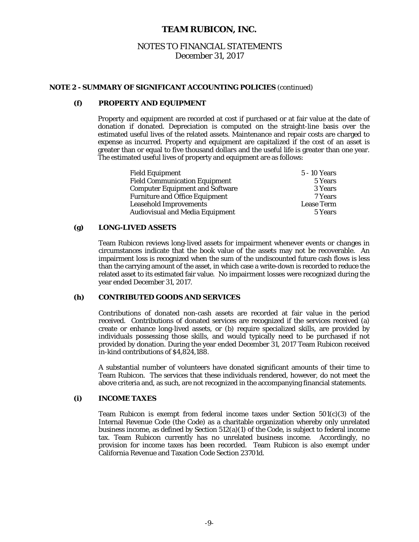# NOTES TO FINANCIAL STATEMENTS December 31, 2017

#### **NOTE 2 - SUMMARY OF SIGNIFICANT ACCOUNTING POLICIES** (continued)

#### **(f) PROPERTY AND EQUIPMENT**

 Property and equipment are recorded at cost if purchased or at fair value at the date of donation if donated. Depreciation is computed on the straight-line basis over the estimated useful lives of the related assets. Maintenance and repair costs are charged to expense as incurred. Property and equipment are capitalized if the cost of an asset is greater than or equal to five thousand dollars and the useful life is greater than one year. The estimated useful lives of property and equipment are as follows:

| <b>Field Equipment</b>                 | 5 - 10 Years      |
|----------------------------------------|-------------------|
| <b>Field Communication Equipment</b>   | 5 Years           |
| <b>Computer Equipment and Software</b> | 3 Years           |
| <b>Furniture and Office Equipment</b>  | 7 Years           |
| <b>Leasehold Improvements</b>          | <b>Lease Term</b> |
| <b>Audiovisual and Media Equipment</b> | 5 Years           |

#### **(g) LONG-LIVED ASSETS**

Team Rubicon reviews long-lived assets for impairment whenever events or changes in circumstances indicate that the book value of the assets may not be recoverable. An impairment loss is recognized when the sum of the undiscounted future cash flows is less than the carrying amount of the asset, in which case a write-down is recorded to reduce the related asset to its estimated fair value. No impairment losses were recognized during the year ended December 31, 2017.

### **(h) CONTRIBUTED GOODS AND SERVICES**

 Contributions of donated non-cash assets are recorded at fair value in the period received. Contributions of donated services are recognized if the services received (a) create or enhance long-lived assets, or (b) require specialized skills, are provided by individuals possessing those skills, and would typically need to be purchased if not provided by donation. During the year ended December 31, 2017 Team Rubicon received in-kind contributions of \$4,824,188.

A substantial number of volunteers have donated significant amounts of their time to Team Rubicon. The services that these individuals rendered, however, do not meet the above criteria and, as such, are not recognized in the accompanying financial statements.

#### **(i) INCOME TAXES**

Team Rubicon is exempt from federal income taxes under Section  $501(c)(3)$  of the Internal Revenue Code (the Code) as a charitable organization whereby only unrelated business income, as defined by Section 512(a)(1) of the Code, is subject to federal income tax. Team Rubicon currently has no unrelated business income. Accordingly, no provision for income taxes has been recorded. Team Rubicon is also exempt under California Revenue and Taxation Code Section 23701d.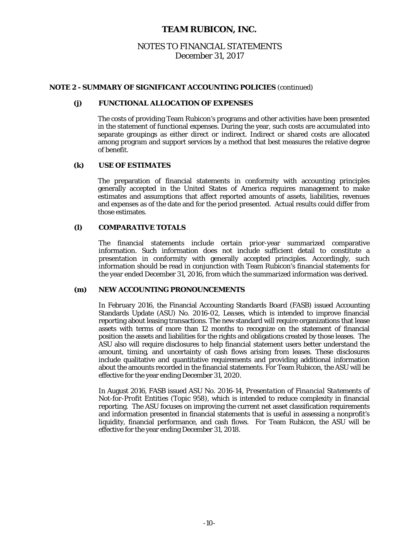# NOTES TO FINANCIAL STATEMENTS December 31, 2017

#### **NOTE 2 - SUMMARY OF SIGNIFICANT ACCOUNTING POLICIES** (continued)

#### **(j) FUNCTIONAL ALLOCATION OF EXPENSES**

 The costs of providing Team Rubicon's programs and other activities have been presented in the statement of functional expenses. During the year, such costs are accumulated into separate groupings as either direct or indirect. Indirect or shared costs are allocated among program and support services by a method that best measures the relative degree of benefit.

### **(k) USE OF ESTIMATES**

 The preparation of financial statements in conformity with accounting principles generally accepted in the United States of America requires management to make estimates and assumptions that affect reported amounts of assets, liabilities, revenues and expenses as of the date and for the period presented. Actual results could differ from those estimates.

#### **(l) COMPARATIVE TOTALS**

The financial statements include certain prior-year summarized comparative information. Such information does not include sufficient detail to constitute a presentation in conformity with generally accepted principles. Accordingly, such information should be read in conjunction with Team Rubicon's financial statements for the year ended December 31, 2016, from which the summarized information was derived.

#### **(m) NEW ACCOUNTING PRONOUNCEMENTS**

In February 2016, the Financial Accounting Standards Board (FASB) issued Accounting Standards Update (ASU) No. 2016-02, *Leases*, which is intended to improve financial reporting about leasing transactions. The new standard will require organizations that lease assets with terms of more than 12 months to recognize on the statement of financial position the assets and liabilities for the rights and obligations created by those leases. The ASU also will require disclosures to help financial statement users better understand the amount, timing, and uncertainty of cash flows arising from leases. These disclosures include qualitative and quantitative requirements and providing additional information about the amounts recorded in the financial statements. For Team Rubicon, the ASU will be effective for the year ending December 31, 2020.

In August 2016, FASB issued ASU No. 2016-14, *Presentation of Financial Statements of Not-for-Profit Entities (Topic 958)*, which is intended to reduce complexity in financial reporting. The ASU focuses on improving the current net asset classification requirements and information presented in financial statements that is useful in assessing a nonprofit's liquidity, financial performance, and cash flows. For Team Rubicon, the ASU will be effective for the year ending December 31, 2018.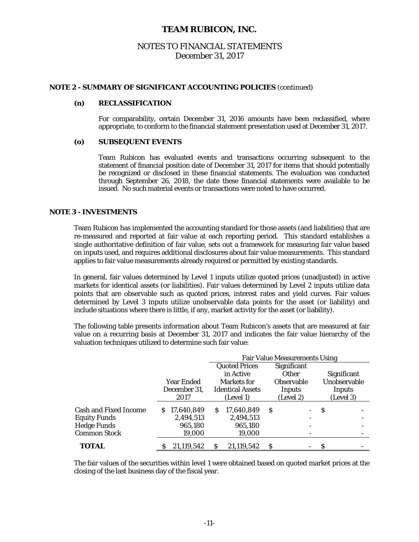# NOTES TO FINANCIAL STATEMENTS December 31, 2017

#### **NOTE 2 - SUMMARY OF SIGNIFICANT ACCOUNTING POLICIES** (continued)

#### **(n) RECLASSIFICATION**

For comparability, certain December 31, 2016 amounts have been reclassified, where appropriate, to conform to the financial statement presentation used at December 31, 2017.

#### **(o) SUBSEQUENT EVENTS**

Team Rubicon has evaluated events and transactions occurring subsequent to the statement of financial position date of December 31, 2017 for items that should potentially be recognized or disclosed in these financial statements. The evaluation was conducted through September 26, 2018, the date these financial statements were available to be issued. No such material events or transactions were noted to have occurred.

#### **NOTE 3 - INVESTMENTS**

 Team Rubicon has implemented the accounting standard for those assets (and liabilities) that are re-measured and reported at fair value at each reporting period. This standard establishes a single authoritative definition of fair value, sets out a framework for measuring fair value based on inputs used, and requires additional disclosures about fair value measurements. This standard applies to fair value measurements already required or permitted by existing standards.

 In general, fair values determined by Level 1 inputs utilize quoted prices (unadjusted) in active markets for identical assets (or liabilities). Fair values determined by Level 2 inputs utilize data points that are observable such as quoted prices, interest rates and yield curves. Fair values determined by Level 3 inputs utilize unobservable data points for the asset (or liability) and include situations where there is little, if any, market activity for the asset (or liability).

 The following table presents information about Team Rubicon's assets that are measured at fair value on a recurring basis at December 31, 2017 and indicates the fair value hierarchy of the valuation techniques utilized to determine such fair value:

|                              |              |            | <b>Fair Value Measurements Using</b> |                         |   |                   |   |               |  |
|------------------------------|--------------|------------|--------------------------------------|-------------------------|---|-------------------|---|---------------|--|
|                              |              |            |                                      | <b>Quoted Prices</b>    |   | Significant       |   |               |  |
|                              |              |            |                                      | in Active               |   | Other             |   | Significant   |  |
|                              |              | Year Ended |                                      | Markets for             |   | <b>Observable</b> |   | Unobservable  |  |
|                              | December 31, |            |                                      | <b>Identical Assets</b> |   | Inputs            |   | <b>Inputs</b> |  |
|                              |              | 2017       |                                      | (Level 1)               |   | (Level 2)         |   | (Level 3)     |  |
| <b>Cash and Fixed Income</b> | S.           | 17,640,849 | S                                    | 17,640,849              | S |                   | S |               |  |
| <b>Equity Funds</b>          |              | 2,494,513  |                                      | 2,494,513               |   |                   |   |               |  |
| <b>Hedge Funds</b>           |              | 965,180    |                                      | 965,180                 |   |                   |   |               |  |
| <b>Common Stock</b>          |              | 19,000     |                                      | 19,000                  |   |                   |   |               |  |
| <b>TOTAL</b>                 |              | 21,119,542 | S                                    | 21,119,542              | S |                   | S |               |  |

 The fair values of the securities within level 1 were obtained based on quoted market prices at the closing of the last business day of the fiscal year.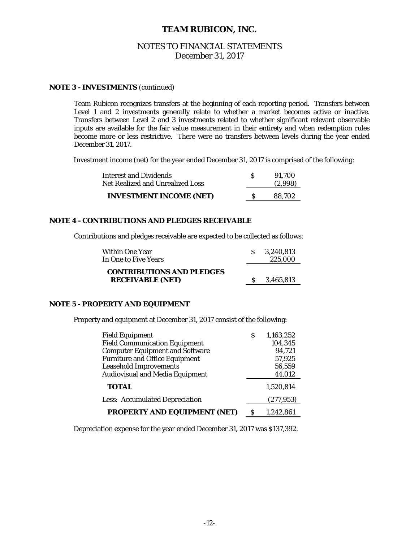# NOTES TO FINANCIAL STATEMENTS December 31, 2017

#### **NOTE 3 - INVESTMENTS** (continued)

 Team Rubicon recognizes transfers at the beginning of each reporting period. Transfers between Level 1 and 2 investments generally relate to whether a market becomes active or inactive. Transfers between Level 2 and 3 investments related to whether significant relevant observable inputs are available for the fair value measurement in their entirety and when redemption rules become more or less restrictive. There were no transfers between levels during the year ended December 31, 2017.

Investment income (net) for the year ended December 31, 2017 is comprised of the following:

| <b>Interest and Dividends</b><br>Net Realized and Unrealized Loss | 91.700<br>(2,998) |
|-------------------------------------------------------------------|-------------------|
| <b>INVESTMENT INCOME (NET)</b>                                    | 88.702            |

#### **NOTE 4 - CONTRIBUTIONS AND PLEDGES RECEIVABLE**

Contributions and pledges receivable are expected to be collected as follows:

| Within One Year<br>In One to Five Years                     | 3.240.813<br>225,000 |
|-------------------------------------------------------------|----------------------|
| <b>CONTRIBUTIONS AND PLEDGES</b><br><b>RECEIVABLE (NET)</b> | 3,465,813            |

#### **NOTE 5 - PROPERTY AND EQUIPMENT**

Property and equipment at December 31, 2017 consist of the following:

| <b>Field Equipment</b>                 | S | 1,163,252  |
|----------------------------------------|---|------------|
| <b>Field Communication Equipment</b>   |   | 104,345    |
| <b>Computer Equipment and Software</b> |   | 94,721     |
| <b>Furniture and Office Equipment</b>  |   | 57,925     |
| <b>Leasehold Improvements</b>          |   | 56,559     |
| <b>Audiovisual and Media Equipment</b> |   | 44,012     |
| <b>TOTAL</b>                           |   | 1,520,814  |
| <b>Less: Accumulated Depreciation</b>  |   | (277, 953) |
| <b>PROPERTY AND EQUIPMENT (NET)</b>    | S | 1,242,861  |

Depreciation expense for the year ended December 31, 2017 was \$137,392.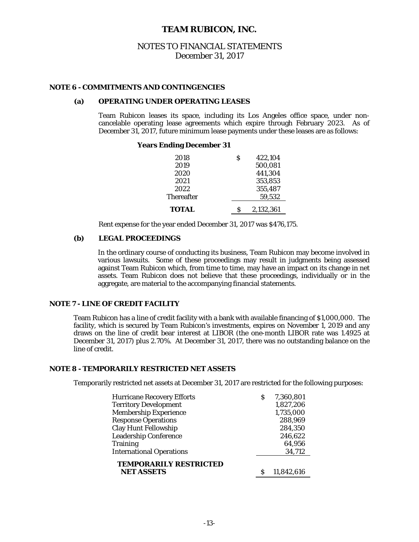### NOTES TO FINANCIAL STATEMENTS December 31, 2017

#### **NOTE 6 - COMMITMENTS AND CONTINGENCIES**

### **(a) OPERATING UNDER OPERATING LEASES**

Team Rubicon leases its space, including its Los Angeles office space, under noncancelable operating lease agreements which expire through February 2023. As of December 31, 2017, future minimum lease payments under these leases are as follows:

#### **Years Ending December 31**

| 2018              | S | 422.104            |
|-------------------|---|--------------------|
| 2019              |   | 500,081            |
| 2020<br>2021      |   | 441,304            |
| 2022              |   | 353,853<br>355,487 |
| <b>Thereafter</b> |   | 59.532             |
|                   |   |                    |
| <b>TOTAL</b>      | S | 2,132,361          |

Rent expense for the year ended December 31, 2017 was \$476,175.

#### **(b) LEGAL PROCEEDINGS**

 In the ordinary course of conducting its business, Team Rubicon may become involved in various lawsuits. Some of these proceedings may result in judgments being assessed against Team Rubicon which, from time to time, may have an impact on its change in net assets. Team Rubicon does not believe that these proceedings, individually or in the aggregate, are material to the accompanying financial statements.

#### **NOTE 7 - LINE OF CREDIT FACILITY**

 Team Rubicon has a line of credit facility with a bank with available financing of \$1,000,000. The facility, which is secured by Team Rubicon's investments, expires on November 1, 2019 and any draws on the line of credit bear interest at LIBOR (the one-month LIBOR rate was 1.4925 at December 31, 2017) plus 2.70%. At December 31, 2017, there was no outstanding balance on the line of credit.

#### **NOTE 8 - TEMPORARILY RESTRICTED NET ASSETS**

Temporarily restricted net assets at December 31, 2017 are restricted for the following purposes:

| <b>Hurricane Recovery Efforts</b>                  | S | 7,360,801  |
|----------------------------------------------------|---|------------|
| <b>Territory Development</b>                       |   | 1,827,206  |
| <b>Membership Experience</b>                       |   | 1,735,000  |
| <b>Response Operations</b>                         |   | 288,969    |
| <b>Clay Hunt Fellowship</b>                        |   | 284,350    |
| <b>Leadership Conference</b>                       |   | 246,622    |
| <b>Training</b>                                    |   | 64,956     |
| <b>International Operations</b>                    |   | 34,712     |
| <b>TEMPORARILY RESTRICTED</b><br><b>NET ASSETS</b> |   | 11,842,616 |